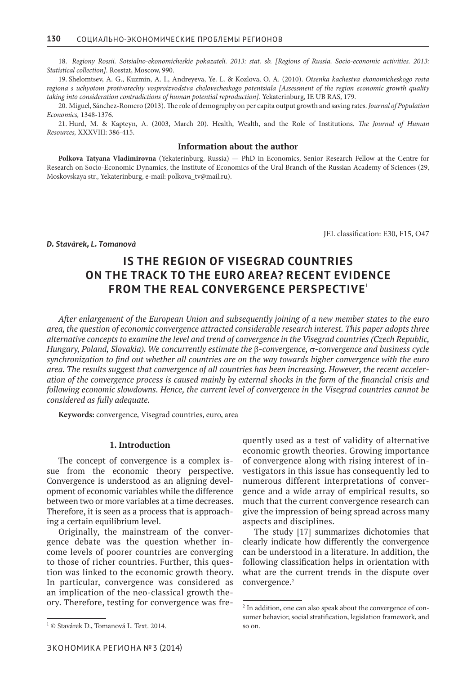# **IS THE REGION OF VISEGRAD COUNTRIES ON THE TRACK TO THE EURO AREA? RECENT EVIDENCE FROM THE REAL CONVERGENCE PERSPECTIVE**<sup>1</sup>

*After enlargement of the European Union and subsequently joining of a new member states to the euro area, the question of economic convergence attracted considerable research interest. This paper adopts three alternative concepts to examine the level and trend of convergence in the Visegrad countries (Czech Republic, Hungary, Poland, Slovakia). We concurrently estimate the* β*-convergence,* σ*-convergence and business cycle synchronization to find out whether all countries are on the way towards higher convergence with the euro area. The results suggest that convergence of all countries has been increasing. However, the recent acceleration of the convergence process is caused mainly by external shocks in the form of the financial crisis and following economic slowdowns. Hence, the current level of convergence in the Visegrad countries cannot be considered as fully adequate.*

**Keywords:** convergence, Visegrad countries, euro, area

## **1. Introduction**

The concept of convergence is a complex issue from the economic theory perspective. Convergence is understood as an aligning development of economic variables while the difference between two or more variables at a time decreases. Therefore, it is seen as a process that is approaching a certain equilibrium level.

Originally, the mainstream of the convergence debate was the question whether income levels of poorer countries are converging to those of richer countries. Further, this question was linked to the economic growth theory. In particular, convergence was considered as an implication of the neo-classical growth theory. Therefore, testing for convergence was frequently used as a test of validity of alternative economic growth theories. Growing importance of convergence along with rising interest of investigators in this issue has consequently led to numerous different interpretations of convergence and a wide array of empirical results, so much that the current convergence research can give the impression of being spread across many aspects and disciplines.

The study [17] summarizes dichotomies that clearly indicate how differently the convergence can be understood in a literature. In addition, the following classification helps in orientation with what are the current trends in the dispute over convergence.<sup>2</sup>

<sup>1</sup> © Stavárek D., Tomanová L. Text. 2014.

<sup>&</sup>lt;sup>2</sup> In addition, one can also speak about the convergence of consumer behavior, social stratification, legislation framework, and so on.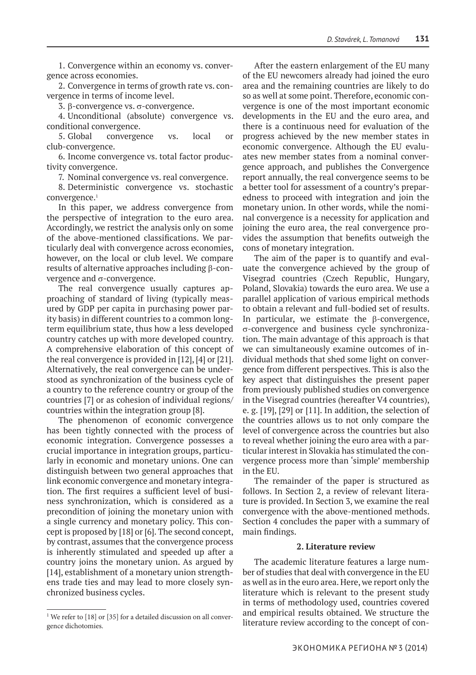1. Convergence within an economy vs. convergence across economies.

2. Convergence in terms of growth rate vs. convergence in terms of income level.

3. β-convergence vs. σ-convergence.

4. Unconditional (absolute) convergence vs. conditional convergence.

5. Global convergence vs. local or club-convergence.

6. Income convergence vs. total factor productivity convergence.

7. Nominal convergence vs. real convergence.

8. Deterministic convergence vs. stochastic convergence.<sup>1</sup>

In this paper, we address convergence from the perspective of integration to the euro area. Accordingly, we restrict the analysis only on some of the above-mentioned classifications. We particularly deal with convergence across economies, however, on the local or club level. We compare results of alternative approaches including β-convergence and  $\sigma$ -convergence.

The real convergence usually captures approaching of standard of living (typically measured by GDP per capita in purchasing power parity basis) in different countries to a common longterm equilibrium state, thus how a less developed country catches up with more developed country. A comprehensive elaboration of this concept of the real convergence is provided in [12], [4] or [21]. Alternatively, the real convergence can be understood as synchronization of the business cycle of a country to the reference country or group of the countries [7] or as cohesion of individual regions/ countries within the integration group [8].

The phenomenon of economic convergence has been tightly connected with the process of economic integration. Convergence possesses a crucial importance in integration groups, particularly in economic and monetary unions. One can distinguish between two general approaches that link economic convergence and monetary integration. The first requires a sufficient level of business synchronization, which is considered as a precondition of joining the monetary union with a single currency and monetary policy. This concept is proposed by [18] or [6]. The second concept, by contrast, assumes that the convergence process is inherently stimulated and speeded up after a country joins the monetary union. As argued by [14], establishment of a monetary union strengthens trade ties and may lead to more closely synchronized business cycles.

After the eastern enlargement of the EU many of the EU newcomers already had joined the euro area and the remaining countries are likely to do so as well at some point. Therefore, economic convergence is one of the most important economic developments in the EU and the euro area, and there is a continuous need for evaluation of the progress achieved by the new member states in economic convergence. Although the EU evaluates new member states from a nominal convergence approach, and publishes the Convergence report annually, the real convergence seems to be a better tool for assessment of a country's preparedness to proceed with integration and join the monetary union. In other words, while the nominal convergence is a necessity for application and joining the euro area, the real convergence provides the assumption that benefits outweigh the cons of monetary integration.

The aim of the paper is to quantify and evaluate the convergence achieved by the group of Visegrad countries (Czech Republic, Hungary, Poland, Slovakia) towards the euro area. We use a parallel application of various empirical methods to obtain a relevant and full-bodied set of results. In particular, we estimate the  $β$ -convergence, σ-convergence and business cycle synchronization. The main advantage of this approach is that we can simultaneously examine outcomes of individual methods that shed some light on convergence from different perspectives. This is also the key aspect that distinguishes the present paper from previously published studies on convergence in the Visegrad countries (hereafter V4 countries), e. g. [19], [29] or [11]. In addition, the selection of the countries allows us to not only compare the level of convergence across the countries but also to reveal whether joining the euro area with a particular interest in Slovakia has stimulated the convergence process more than 'simple' membership in the EU.

The remainder of the paper is structured as follows. In Section 2, a review of relevant literature is provided. In Section 3, we examine the real convergence with the above-mentioned methods. Section 4 concludes the paper with a summary of main findings.

## **2. Literature review**

The academic literature features a large number of studies that deal with convergence in the EU as well as in the euro area. Here, we report only the literature which is relevant to the present study in terms of methodology used, countries covered and empirical results obtained. We structure the literature review according to the concept of con-

 $1$  We refer to [18] or [35] for a detailed discussion on all convergence dichotomies.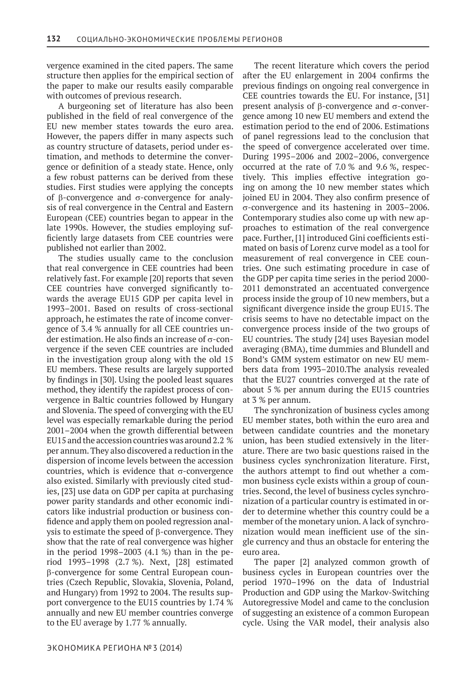vergence examined in the cited papers. The same structure then applies for the empirical section of the paper to make our results easily comparable with outcomes of previous research.

A burgeoning set of literature has also been published in the field of real convergence of the EU new member states towards the euro area. However, the papers differ in many aspects such as country structure of datasets, period under estimation, and methods to determine the convergence or definition of a steady state. Hence, only a few robust patterns can be derived from these studies. First studies were applying the concepts of β-convergence and σ-convergence for analysis of real convergence in the Central and Eastern European (CEE) countries began to appear in the late 1990s. However, the studies employing sufficiently large datasets from CEE countries were published not earlier than 2002.

The studies usually came to the conclusion that real convergence in CEE countries had been relatively fast. For example [20] reports that seven CEE countries have converged significantly towards the average EU15 GDP per capita level in 1993–2001. Based on results of cross-sectional approach, he estimates the rate of income convergence of 3.4 % annually for all CEE countries under estimation. He also finds an increase of σ-convergence if the seven CEE countries are included in the investigation group along with the old 15 EU members. These results are largely supported by findings in [30]. Using the pooled least squares method, they identify the rapidest process of convergence in Baltic countries followed by Hungary and Slovenia. The speed of converging with the EU level was especially remarkable during the period 2001–2004 when the growth differential between EU15 and the accession countries was around 2.2 % per annum. They also discovered a reduction in the dispersion of income levels between the accession countries, which is evidence that σ-convergence also existed. Similarly with previously cited studies, [23] use data on GDP per capita at purchasing power parity standards and other economic indicators like industrial production or business confidence and apply them on pooled regression analysis to estimate the speed of  $β$ -convergence. They show that the rate of real convergence was higher in the period 1998–2003 (4.1 %) than in the period 1993–1998 (2.7 %). Next, [28] estimated β-convergence for some Central European countries (Czech Republic, Slovakia, Slovenia, Poland, and Hungary) from 1992 to 2004. The results support convergence to the EU15 countries by 1.74 % annually and new EU member countries converge to the EU average by 1.77 % annually.

The recent literature which covers the period after the EU enlargement in 2004 confirms the previous findings on ongoing real convergence in CEE countries towards the EU. For instance, [31] present analysis of β-convergence and σ-convergence among 10 new EU members and extend the estimation period to the end of 2006. Estimations of panel regressions lead to the conclusion that the speed of convergence accelerated over time. During 1995–2006 and 2002–2006, convergence occurred at the rate of 7.0 % and 9.6 %, respectively. This implies effective integration going on among the 10 new member states which joined EU in 2004. They also confirm presence of σ-convergence and its hastening in 2003–2006. Contemporary studies also come up with new approaches to estimation of the real convergence pace. Further, [1] introduced Gini coefficients estimated on basis of Lorenz curve model as a tool for measurement of real convergence in CEE countries. One such estimating procedure in case of the GDP per capita time series in the period 2000- 2011 demonstrated an accentuated convergence process inside the group of 10 new members, but a significant divergence inside the group EU15. The crisis seems to have no detectable impact on the convergence process inside of the two groups of EU countries. The study [24] uses Bayesian model averaging (BMA), time dummies and Blundell and Bond's GMM system estimator on new EU members data from 1993–2010.The analysis revealed that the EU27 countries converged at the rate of about 5 % per annum during the EU15 countries at 3 % per annum.

The synchronization of business cycles among EU member states, both within the euro area and between candidate countries and the monetary union, has been studied extensively in the literature. There are two basic questions raised in the business cycles synchronization literature. First, the authors attempt to find out whether a common business cycle exists within a group of countries. Second, the level of business cycles synchronization of a particular country is estimated in order to determine whether this country could be a member of the monetary union. A lack of synchronization would mean inefficient use of the single currency and thus an obstacle for entering the euro area.

The paper [2] analyzed common growth of business cycles in European countries over the period 1970–1996 on the data of Industrial Production and GDP using the Markov-Switching Autoregressive Model and came to the conclusion of suggesting an existence of a common European cycle. Using the VAR model, their analysis also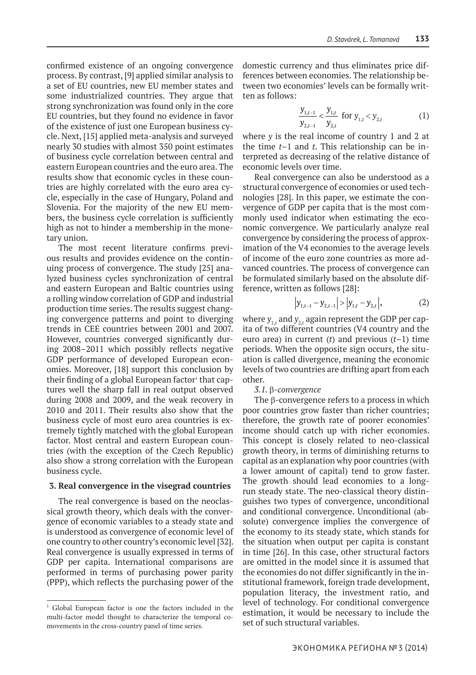confirmed existence of an ongoing convergence process. By contrast, [9] applied similar analysis to a set of EU countries, new EU member states and some industrialized countries. They argue that strong synchronization was found only in the core EU countries, but they found no evidence in favor of the existence of just one European business cycle. Next, [15] applied meta-analysis and surveyed nearly 30 studies with almost 350 point estimates of business cycle correlation between central and eastern European countries and the euro area. The results show that economic cycles in these countries are highly correlated with the euro area cycle, especially in the case of Hungary, Poland and Slovenia. For the majority of the new EU members, the business cycle correlation is sufficiently high as not to hinder a membership in the monetary union.

The most recent literature confirms previous results and provides evidence on the continuing process of convergence. The study [25] analyzed business cycles synchronization of central and eastern European and Baltic countries using a rolling window correlation of GDP and industrial production time series. The results suggest changing convergence patterns and point to diverging trends in CEE countries between 2001 and 2007. However, countries converged significantly during 2008–2011 which possibly reflects negative GDP performance of developed European economies. Moreover, [18] support this conclusion by their finding of a global European factor' that captures well the sharp fall in real output observed during 2008 and 2009, and the weak recovery in 2010 and 2011. Their results also show that the business cycle of most euro area countries is extremely tightly matched with the global European factor. Most central and eastern European countries (with the exception of the Czech Republic) also show a strong correlation with the European business cycle.

## **3. Real convergence in the visegrad countries**

The real convergence is based on the neoclassical growth theory, which deals with the convergence of economic variables to a steady state and is understood as convergence of economic level of one country to other country's economic level [32]. Real convergence is usually expressed in terms of GDP per capita. International comparisons are performed in terms of purchasing power parity (PPP), which reflects the purchasing power of the

domestic currency and thus eliminates price differences between economies. The relationship between two economies' levels can be formally written as follows:

$$
\frac{y_{1,t-1}}{y_{2,t-1}} < \frac{y_{1,t}}{y_{2,t}} \text{ for } y_{1,t} < y_{2,t} \tag{1}
$$

where *y* is the real income of country 1 and 2 at the time *t*–1 and *t*. This relationship can be interpreted as decreasing of the relative distance of economic levels over time.

Real convergence can also be understood as a structural convergence of economies or used technologies [28]. In this paper, we estimate the convergence of GDP per capita that is the most commonly used indicator when estimating the economic convergence. We particularly analyze real convergence by considering the process of approximation of the V4 economies to the average levels of income of the euro zone countries as more advanced countries. The process of convergence can be formulated similarly based on the absolute difference, written as follows [28]:

$$
y_{1,t-1} - y_{2,t-1} > |y_{1,t} - y_{2,t}|,
$$
 (2)

where  $y_{1,t}$  and  $y_{2,t}$  again represent the GDP per capita of two different countries (V4 country and the euro area) in current (*t*) and previous (*t*–1) time periods. When the opposite sign occurs, the situation is called divergence, meaning the economic levels of two countries are drifting apart from each other.

## *3.1.* β*-convergence*

The β-convergence refers to a process in which poor countries grow faster than richer countries; therefore, the growth rate of poorer economies' income should catch up with richer economies. This concept is closely related to neo-classical growth theory, in terms of diminishing returns to capital as an explanation why poor countries (with a lower amount of capital) tend to grow faster. The growth should lead economies to a longrun steady state. The neo-classical theory distinguishes two types of convergence, unconditional and conditional convergence. Unconditional (absolute) convergence implies the convergence of the economy to its steady state, which stands for the situation when output per capita is constant in time [26]. In this case, other structural factors are omitted in the model since it is assumed that the economies do not differ significantly in the institutional framework, foreign trade development, population literacy, the investment ratio, and level of technology. For conditional convergence estimation, it would be necessary to include the set of such structural variables.

<sup>&</sup>lt;sup>1</sup> Global European factor is one the factors included in the multi-factor model thought to characterize the temporal comovements in the cross-country panel of time series.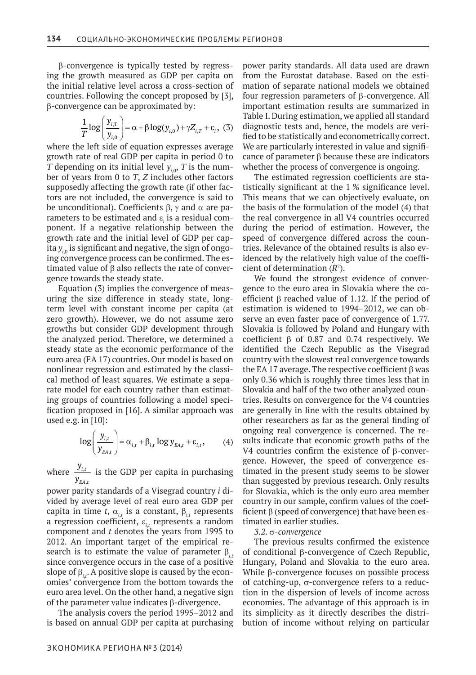β-convergence is typically tested by regressing the growth measured as GDP per capita on the initial relative level across a cross-section of countries. Following the concept proposed by [3], β-convergence can be approximated by:

$$
\frac{1}{T}\log\left(\frac{y_{i,T}}{y_{i,0}}\right) = \alpha + \beta \log(y_{i,0}) + \gamma Z_{i,T} + \varepsilon_i, (3)
$$

where the left side of equation expresses average growth rate of real GDP per capita in period 0 to *T* depending on its initial level  $y_{i,0}$ , *T* is the number of years from 0 to *T*, *Z* includes other factors supposedly affecting the growth rate (if other factors are not included, the convergence is said to be unconditional). Coefficients  $β$ ,  $γ$  and  $α$  are parameters to be estimated and  $\varepsilon$ <sub>i</sub> is a residual component. If a negative relationship between the growth rate and the initial level of GDP per capita *y<sub>i0</sub>* is significant and negative, the sign of ongoing convergence process can be confirmed. The estimated value of  $β$  also reflects the rate of convergence towards the steady state.

Equation (3) implies the convergence of measuring the size difference in steady state, longterm level with constant income per capita (at zero growth). However, we do not assume zero growths but consider GDP development through the analyzed period. Therefore, we determined a steady state as the economic performance of the euro area (EA 17) countries. Our model is based on nonlinear regression and estimated by the classical method of least squares. We estimate a separate model for each country rather than estimating groups of countries following a model specification proposed in [16]. A similar approach was used e.g. in [10]:

$$
\log\left(\frac{y_{i,t}}{y_{EA,t}}\right) = \alpha_{i,t} + \beta_{i,t} \log y_{EA,t} + \varepsilon_{i,t},\qquad(4)
$$

where  $\frac{y_{i,t}}{y}$ , *EA t*  $y_{FAt}$  is the GDP per capita in purchasing  $y_{FAt}$ 

power parity standards of a Visegrad country *i* divided by average level of real euro area GDP per capita in time *t*,  $\alpha_{i,t}$  is a constant,  $\beta_{i,t}$  represents a regression coefficient, e*i*,*<sup>t</sup>* represents a random component and *t* denotes the years from 1995 to 2012. An important target of the empirical research is to estimate the value of parameter  $\beta$ <sub>*i*</sub>, since convergence occurs in the case of a positive slope of β*i*,*<sup>t</sup>* . A positive slope is caused by the economies' convergence from the bottom towards the euro area level. On the other hand, a negative sign of the parameter value indicates β-divergence.

The analysis covers the period 1995–2012 and is based on annual GDP per capita at purchasing power parity standards. All data used are drawn from the Eurostat database. Based on the estimation of separate national models we obtained four regression parameters of β-convergence. All important estimation results are summarized in Table I. During estimation, we applied all standard diagnostic tests and, hence, the models are verified to be statistically and econometrically correct. We are particularly interested in value and significance of parameter β because these are indicators whether the process of convergence is ongoing.

The estimated regression coefficients are statistically significant at the 1 % significance level. This means that we can objectively evaluate, on the basis of the formulation of the model (4) that the real convergence in all V4 countries occurred during the period of estimation. However, the speed of convergence differed across the countries. Relevance of the obtained results is also evidenced by the relatively high value of the coefficient of determination  $(R^2)$ .

We found the strongest evidence of convergence to the euro area in Slovakia where the coefficient β reached value of 1.12. If the period of estimation is widened to 1994–2012, we can observe an even faster pace of convergence of 1.77. Slovakia is followed by Poland and Hungary with coefficient β of 0.87 and 0.74 respectively. We identified the Czech Republic as the Visegrad country with the slowest real convergence towards the EA 17 average. The respective coefficient  $β$  was only 0.36 which is roughly three times less that in Slovakia and half of the two other analyzed countries. Results on convergence for the V4 countries are generally in line with the results obtained by other researchers as far as the general finding of ongoing real convergence is concerned. The results indicate that economic growth paths of the V4 countries confirm the existence of β-convergence. However, the speed of convergence estimated in the present study seems to be slower than suggested by previous research. Only results for Slovakia, which is the only euro area member country in our sample, confirm values of the coefficient β (speed of convergence) that have been estimated in earlier studies.

*3.2.* σ*-convergence*

The previous results confirmed the existence of conditional β-convergence of Czech Republic, Hungary, Poland and Slovakia to the euro area. While β-convergence focuses on possible process of catching-up, σ-convergence refers to a reduction in the dispersion of levels of income across economies. The advantage of this approach is in its simplicity as it directly describes the distribution of income without relying on particular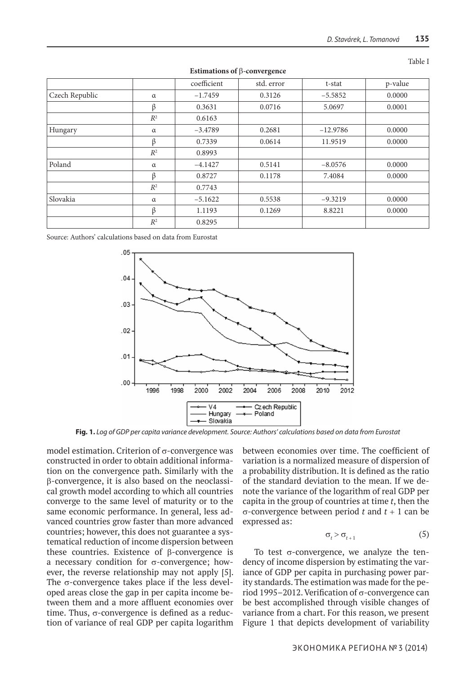Table I

|                |          | coefficient | std. error | t-stat     | p-value |
|----------------|----------|-------------|------------|------------|---------|
| Czech Republic | $\alpha$ | $-1.7459$   | 0.3126     | $-5.5852$  | 0.0000  |
|                | β        | 0.3631      | 0.0716     | 5.0697     | 0.0001  |
|                | $R^2$    | 0.6163      |            |            |         |
| Hungary        | $\alpha$ | $-3.4789$   | 0.2681     | $-12.9786$ | 0.0000  |
|                | ß        | 0.7339      | 0.0614     | 11.9519    | 0.0000  |
|                | $R^2$    | 0.8993      |            |            |         |
| Poland         | $\alpha$ | $-4.1427$   | 0.5141     | $-8.0576$  | 0.0000  |
|                | ß        | 0.8727      | 0.1178     | 7.4084     | 0.0000  |
|                | $R^2$    | 0.7743      |            |            |         |
| Slovakia       | $\alpha$ | $-5.1622$   | 0.5538     | $-9.3219$  | 0.0000  |
|                | ß        | 1.1193      | 0.1269     | 8.8221     | 0.0000  |
|                | $R^2$    | 0.8295      |            |            |         |

**Estimations of** β**-convergence**

Source: Authors' calculations based on data from Eurostat



**Fig. 1.** *Log of GDP per capita variance development. Source: Authors' calculations based on data from Eurostat*

model estimation. Criterion of  $\sigma$ -convergence was constructed in order to obtain additional information on the convergence path. Similarly with the β-convergence, it is also based on the neoclassical growth model according to which all countries converge to the same level of maturity or to the same economic performance. In general, less advanced countries grow faster than more advanced countries; however, this does not guarantee a systematical reduction of income dispersion between these countries. Existence of β-convergence is a necessary condition for σ-convergence; however, the reverse relationship may not apply [5]. The  $\sigma$ -convergence takes place if the less developed areas close the gap in per capita income between them and a more affluent economies over time. Thus,  $σ$ -convergence is defined as a reduction of variance of real GDP per capita logarithm between economies over time. The coefficient of variation is a normalized measure of dispersion of a probability distribution. It is defined as the ratio of the standard deviation to the mean. If we denote the variance of the logarithm of real GDP per capita in the group of countries at time *t*, then the σ-convergence between period *t* and *t* + 1 can be expressed as:

$$
\sigma_t > \sigma_{t+1} \tag{5}
$$

To test  $\sigma$ -convergence, we analyze the tendency of income dispersion by estimating the variance of GDP per capita in purchasing power parity standards. The estimation was made for the period 1995–2012. Verification of σ-convergence can be best accomplished through visible changes of variance from a chart. For this reason, we present Figure 1 that depicts development of variability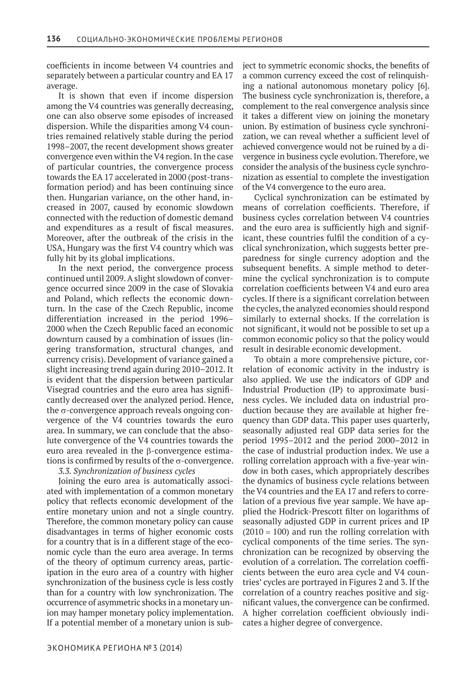coefficients in income between V4 countries and separately between a particular country and EA 17 average.

It is shown that even if income dispersion among the V4 countries was generally decreasing, one can also observe some episodes of increased dispersion. While the disparities among V4 countries remained relatively stable during the period 1998–2007, the recent development shows greater convergence even within the V4 region. In the case of particular countries, the convergence process towards the EA 17 accelerated in 2000 (post-transformation period) and has been continuing since then. Hungarian variance, on the other hand, increased in 2007, caused by economic slowdown connected with the reduction of domestic demand and expenditures as a result of fiscal measures. Moreover, after the outbreak of the crisis in the USA, Hungary was the first V4 country which was fully hit by its global implications.

In the next period, the convergence process continued until 2009. A slight slowdown of convergence occurred since 2009 in the case of Slovakia and Poland, which reflects the economic downturn. In the case of the Czech Republic, income differentiation increased in the period 1996– 2000 when the Czech Republic faced an economic downturn caused by a combination of issues (lingering transformation, structural changes, and currency crisis). Development of variance gained a slight increasing trend again during 2010–2012. It is evident that the dispersion between particular Visegrad countries and the euro area has significantly decreased over the analyzed period. Hence, the σ-convergence approach reveals ongoing convergence of the V4 countries towards the euro area. In summary, we can conclude that the absolute convergence of the V4 countries towards the euro area revealed in the β-convergence estimations is confirmed by results of the  $\sigma$ -convergence.

## *3.3. Synchronization of business cycles*

Joining the euro area is automatically associated with implementation of a common monetary policy that reflects economic development of the entire monetary union and not a single country. Therefore, the common monetary policy can cause disadvantages in terms of higher economic costs for a country that is in a different stage of the economic cycle than the euro area average. In terms of the theory of optimum currency areas, participation in the euro area of a country with higher synchronization of the business cycle is less costly than for a country with low synchronization. The occurrence of asymmetric shocks in a monetary union may hamper monetary policy implementation. If a potential member of a monetary union is subject to symmetric economic shocks, the benefits of a common currency exceed the cost of relinquishing a national autonomous monetary policy [6]. The business cycle synchronization is, therefore, a complement to the real convergence analysis since it takes a different view on joining the monetary union. By estimation of business cycle synchronization, we can reveal whether a sufficient level of achieved convergence would not be ruined by a divergence in business cycle evolution. Therefore, we consider the analysis of the business cycle synchronization as essential to complete the investigation of the V4 convergence to the euro area.

Cyclical synchronization can be estimated by means of correlation coefficients. Therefore, if business cycles correlation between V4 countries and the euro area is sufficiently high and significant, these countries fulfil the condition of a cyclical synchronization, which suggests better preparedness for single currency adoption and the subsequent benefits. A simple method to determine the cyclical synchronization is to compute correlation coefficients between V4 and euro area cycles. If there is a significant correlation between the cycles, the analyzed economies should respond similarly to external shocks. If the correlation is not significant, it would not be possible to set up a common economic policy so that the policy would result in desirable economic development.

To obtain a more comprehensive picture, correlation of economic activity in the industry is also applied. We use the indicators of GDP and Industrial Production (IP) to approximate business cycles. We included data on industrial production because they are available at higher frequency than GDP data. This paper uses quarterly, seasonally adjusted real GDP data series for the period 1995–2012 and the period 2000–2012 in the case of industrial production index. We use a rolling correlation approach with a five-year window in both cases, which appropriately describes the dynamics of business cycle relations between the V4 countries and the EA 17 and refers to correlation of a previous five year sample. We have applied the Hodrick-Prescott filter on logarithms of seasonally adjusted GDP in current prices and IP  $(2010 = 100)$  and run the rolling correlation with cyclical components of the time series. The synchronization can be recognized by observing the evolution of a correlation. The correlation coefficients between the euro area cycle and V4 countries' cycles are portrayed in Figures 2 and 3. If the correlation of a country reaches positive and significant values, the convergence can be confirmed. A higher correlation coefficient obviously indicates a higher degree of convergence.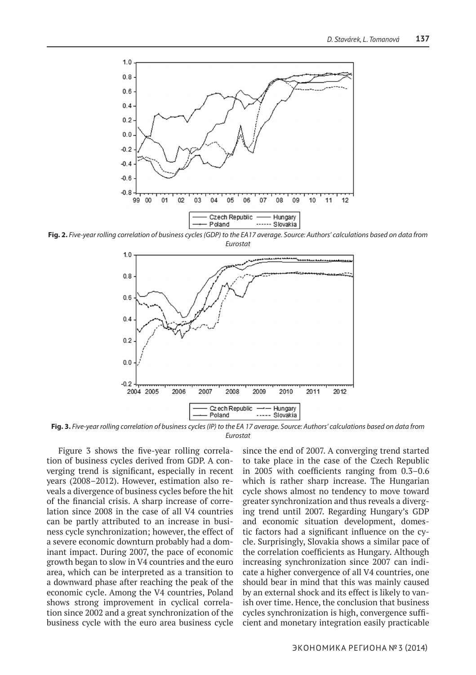

**Fig. 2.** *Five-year rolling correlation of business cycles (GDP) to the EA17 average. Source: Authors' calculations based on data from Eurostat*



**Fig. 3.** *Five-year rolling correlation of business cycles (IP) to the EA 17 average. Source: Authors' calculations based on data from Eurostat*

Figure 3 shows the five-year rolling correlation of business cycles derived from GDP. A converging trend is significant, especially in recent years (2008–2012). However, estimation also reveals a divergence of business cycles before the hit of the financial crisis. A sharp increase of correlation since 2008 in the case of all V4 countries can be partly attributed to an increase in business cycle synchronization; however, the effect of a severe economic downturn probably had a dominant impact. During 2007, the pace of economic growth began to slow in V4 countries and the euro area, which can be interpreted as a transition to a downward phase after reaching the peak of the economic cycle. Among the V4 countries, Poland shows strong improvement in cyclical correlation since 2002 and a great synchronization of the business cycle with the euro area business cycle

since the end of 2007. A converging trend started to take place in the case of the Czech Republic in 2005 with coefficients ranging from 0.3–0.6 which is rather sharp increase. The Hungarian cycle shows almost no tendency to move toward greater synchronization and thus reveals a diverging trend until 2007. Regarding Hungary's GDP and economic situation development, domestic factors had a significant influence on the cycle. Surprisingly, Slovakia shows a similar pace of the correlation coefficients as Hungary. Although increasing synchronization since 2007 can indicate a higher convergence of all V4 countries, one should bear in mind that this was mainly caused by an external shock and its effect is likely to vanish over time. Hence, the conclusion that business cycles synchronization is high, convergence sufficient and monetary integration easily practicable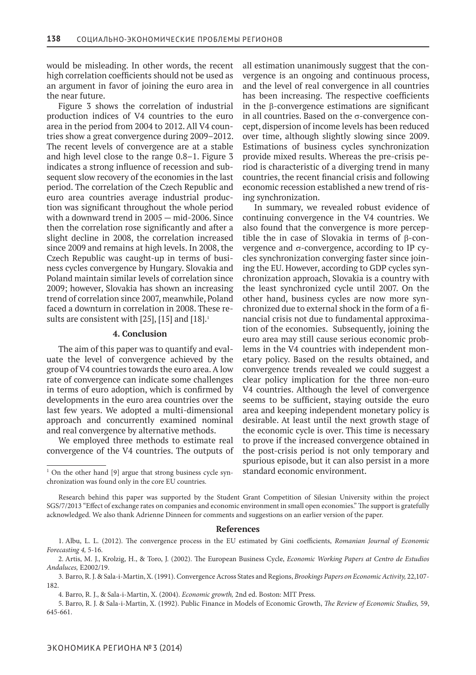would be misleading. In other words, the recent high correlation coefficients should not be used as an argument in favor of joining the euro area in the near future.

Figure 3 shows the correlation of industrial production indices of V4 countries to the euro area in the period from 2004 to 2012. All V4 countries show a great convergence during 2009–2012. The recent levels of convergence are at a stable and high level close to the range 0.8–1. Figure 3 indicates a strong influence of recession and subsequent slow recovery of the economies in the last period. The correlation of the Czech Republic and euro area countries average industrial production was significant throughout the whole period with a downward trend in 2005 — mid-2006. Since then the correlation rose significantly and after a slight decline in 2008, the correlation increased since 2009 and remains at high levels. In 2008, the Czech Republic was caught-up in terms of business cycles convergence by Hungary. Slovakia and Poland maintain similar levels of correlation since 2009; however, Slovakia has shown an increasing trend of correlation since 2007, meanwhile, Poland faced a downturn in correlation in 2008. These results are consistent with  $[25]$ ,  $[15]$  and  $[18]$ <sup>1</sup>

## **4. Conclusion**

The aim of this paper was to quantify and evaluate the level of convergence achieved by the group of V4 countries towards the euro area. A low rate of convergence can indicate some challenges in terms of euro adoption, which is confirmed by developments in the euro area countries over the last few years. We adopted a multi-dimensional approach and concurrently examined nominal and real convergence by alternative methods.

We employed three methods to estimate real convergence of the V4 countries. The outputs of all estimation unanimously suggest that the convergence is an ongoing and continuous process, and the level of real convergence in all countries has been increasing. The respective coefficients in the β-convergence estimations are significant in all countries. Based on the  $\sigma$ -convergence concept, dispersion of income levels has been reduced over time, although slightly slowing since 2009. Estimations of business cycles synchronization provide mixed results. Whereas the pre-crisis period is characteristic of a diverging trend in many countries, the recent financial crisis and following economic recession established a new trend of rising synchronization.

In summary, we revealed robust evidence of continuing convergence in the V4 countries. We also found that the convergence is more perceptible the in case of Slovakia in terms of β-convergence and σ-convergence, according to IP cycles synchronization converging faster since joining the EU. However, according to GDP cycles synchronization approach, Slovakia is a country with the least synchronized cycle until 2007. On the other hand, business cycles are now more synchronized due to external shock in the form of a financial crisis not due to fundamental approximation of the economies. Subsequently, joining the euro area may still cause serious economic problems in the V4 countries with independent monetary policy. Based on the results obtained, and convergence trends revealed we could suggest a clear policy implication for the three non-euro V4 countries. Although the level of convergence seems to be sufficient, staying outside the euro area and keeping independent monetary policy is desirable. At least until the next growth stage of the economic cycle is over. This time is necessary to prove if the increased convergence obtained in the post-crisis period is not only temporary and spurious episode, but it can also persist in a more standard economic environment.

#### **References**

<sup>&</sup>lt;sup>1</sup> On the other hand [9] argue that strong business cycle synchronization was found only in the core EU countries.

Research behind this paper was supported by the Student Grant Competition of Silesian University within the project SGS/7/2013 "Effect of exchange rates on companies and economic environment in small open economies." The support is gratefully acknowledged. We also thank Adrienne Dinneen for comments and suggestions on an earlier version of the paper.

<sup>1.</sup> Albu, L. L. (2012). The convergence process in the EU estimated by Gini coefficients, *Romanian Journal of Economic Forecasting 4,* 5-16.

<sup>2.</sup> Artis, M. J., Krolzig, H., & Toro, J. (2002). The European Business Cycle, *Economic Working Papers at Centro de Estudios Andaluces,* E2002/19.

<sup>3.</sup> Barro, R. J. & Sala-i-Martin, X. (1991). Convergence Across States and Regions, *Brookings Papers on Economic Activity,* 22,107- 182.

<sup>4.</sup> Barro, R. J., & Sala-i-Martin, X. (2004). *Economic growth,* 2nd ed. Boston: MIT Press.

<sup>5.</sup> Barro, R. J. & Sala-i-Martin, X. (1992). Public Finance in Models of Economic Growth, *The Review of Economic Studies,* 59, 645-661.